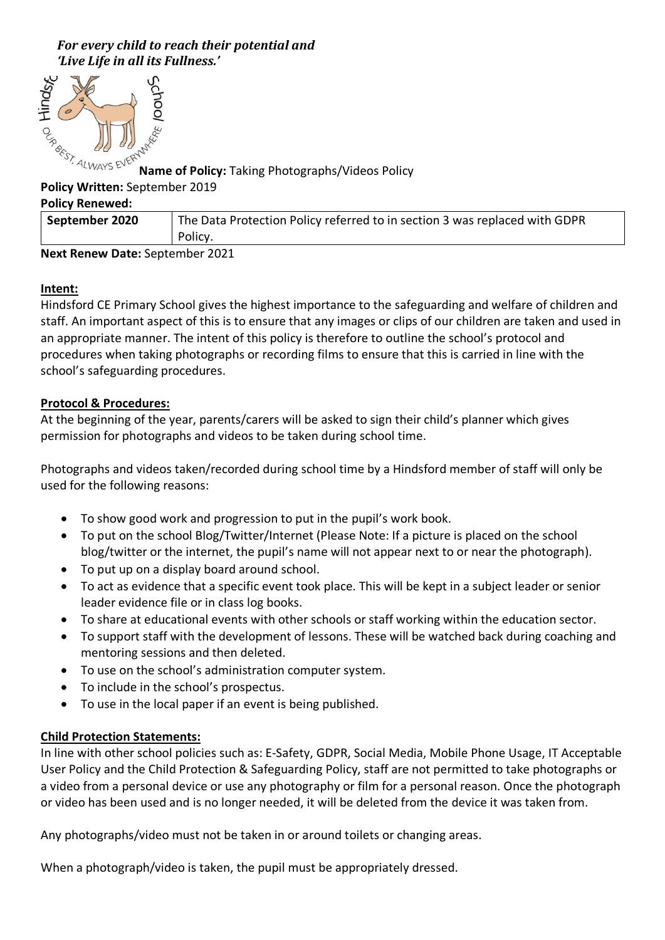# For every child to reach their potential and 'Live Life in all its Fullness.'



**Name of Policy:** Taking Photographs/Videos Policy

### **Policy Written:** September 2019

#### **Policy Renewed:**

| September 2020 | The Data Protection Policy referred to in section 3 was replaced with GDPR |
|----------------|----------------------------------------------------------------------------|
|                | Policy.                                                                    |

### **Next Renew Date:** September 2021

# **Intent:**

Hindsford CE Primary School gives the highest importance to the safeguarding and welfare of children and staff. An important aspect of this is to ensure that any images or clips of our children are taken and used in an appropriate manner. The intent of this policy is therefore to outline the school's protocol and procedures when taking photographs or recording films to ensure that this is carried in line with the school's safeguarding procedures.

## **Protocol & Procedures:**

At the beginning of the year, parents/carers will be asked to sign their child's planner which gives permission for photographs and videos to be taken during school time.

Photographs and videos taken/recorded during school time by a Hindsford member of staff will only be used for the following reasons:

- To show good work and progression to put in the pupil's work book.
- To put on the school Blog/Twitter/Internet (Please Note: If a picture is placed on the school blog/twitter or the internet, the pupil's name will not appear next to or near the photograph).
- To put up on a display board around school.
- To act as evidence that a specific event took place. This will be kept in a subject leader or senior leader evidence file or in class log books.
- To share at educational events with other schools or staff working within the education sector.
- To support staff with the development of lessons. These will be watched back during coaching and mentoring sessions and then deleted.
- To use on the school's administration computer system.
- To include in the school's prospectus.
- To use in the local paper if an event is being published.

### **Child Protection Statements:**

In line with other school policies such as: E-Safety, GDPR, Social Media, Mobile Phone Usage, IT Acceptable User Policy and the Child Protection & Safeguarding Policy, staff are not permitted to take photographs or a video from a personal device or use any photography or film for a personal reason. Once the photograph or video has been used and is no longer needed, it will be deleted from the device it was taken from.

Any photographs/video must not be taken in or around toilets or changing areas.

When a photograph/video is taken, the pupil must be appropriately dressed.